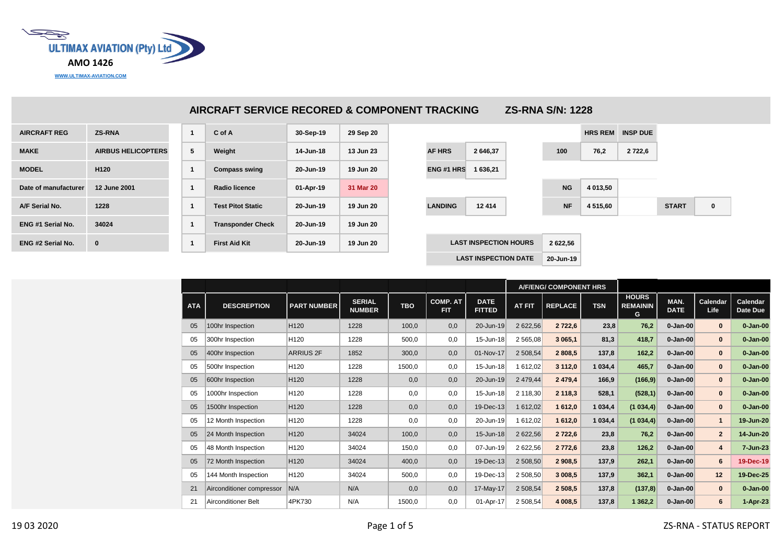

|                          |                           |   | AIRCRAFT SERVICE RECORED & COMPONENT TRACKING |           |           |                   |                              | <b>ZS-RNA S/N: 1228</b> |                |                 |              |          |
|--------------------------|---------------------------|---|-----------------------------------------------|-----------|-----------|-------------------|------------------------------|-------------------------|----------------|-----------------|--------------|----------|
| <b>AIRCRAFT REG</b>      | <b>ZS-RNA</b>             | 1 | C of A                                        | 30-Sep-19 | 29 Sep 20 |                   |                              |                         | <b>HRS REM</b> | <b>INSP DUE</b> |              |          |
| <b>MAKE</b>              | <b>AIRBUS HELICOPTERS</b> | 5 | Weight                                        | 14-Jun-18 | 13 Jun 23 | <b>AF HRS</b>     | 2 646,37                     | 100                     | 76,2           | 2 7 2 2 , 6     |              |          |
| <b>MODEL</b>             | H <sub>120</sub>          |   | <b>Compass swing</b>                          | 20-Jun-19 | 19 Jun 20 | <b>ENG #1 HRS</b> | 1 636,21                     |                         |                |                 |              |          |
| Date of manufacturer     | 12 June 2001              | 1 | Radio licence                                 | 01-Apr-19 | 31 Mar 20 |                   |                              | <b>NG</b>               | 4 013,50       |                 |              |          |
| A/F Serial No.           | 1228                      | 1 | <b>Test Pitot Static</b>                      | 20-Jun-19 | 19 Jun 20 | <b>LANDING</b>    | 12 4 14                      | <b>NF</b>               | 4 515,60       |                 | <b>START</b> | $\bf{0}$ |
| <b>ENG #1 Serial No.</b> | 34024                     |   | <b>Transponder Check</b>                      | 20-Jun-19 | 19 Jun 20 |                   |                              |                         |                |                 |              |          |
| <b>ENG #2 Serial No.</b> | $\bf{0}$                  | 1 | <b>First Aid Kit</b>                          | 20-Jun-19 | 19 Jun 20 |                   | <b>LAST INSPECTION HOURS</b> | 2 622,56                |                |                 |              |          |
|                          |                           |   |                                               |           |           |                   | <b>LAST INSPECTION DATE</b>  | 20-Jun-19               |                |                 |              |          |

|            |                           |                    |                                |            |                               |                              | A/F/ENG/ COMPONENT HRS |                |            |                                      |                     |                  |                      |
|------------|---------------------------|--------------------|--------------------------------|------------|-------------------------------|------------------------------|------------------------|----------------|------------|--------------------------------------|---------------------|------------------|----------------------|
| <b>ATA</b> | <b>DESCREPTION</b>        | <b>PART NUMBER</b> | <b>SERIAL</b><br><b>NUMBER</b> | <b>TBO</b> | <b>COMP. AT</b><br><b>FIT</b> | <b>DATE</b><br><b>FITTED</b> | <b>AT FIT</b>          | <b>REPLACE</b> | <b>TSN</b> | <b>HOURS</b><br><b>REMAININ</b><br>G | MAN.<br><b>DATE</b> | Calendar<br>Life | Calendar<br>Date Due |
| 05         | 100hr Inspection          | H <sub>120</sub>   | 1228                           | 100,0      | 0,0                           | 20-Jun-19                    | 2 622,56               | 2 7 2 2 , 6    | 23,8       | 76,2                                 | $0 - Jan-00$        | $\bf{0}$         | $0 - Jan-00$         |
| 05         | 300hr Inspection          | H <sub>120</sub>   | 1228                           | 500,0      | 0,0                           | 15-Jun-18                    | 2 565,08               | 3 065,1        | 81,3       | 418,7                                | $0 - Jan-00$        | $\bf{0}$         | $0 - Jan-00$         |
| 05         | 400hr Inspection          | <b>ARRIUS 2F</b>   | 1852                           | 300,0      | 0,0                           | 01-Nov-17                    | 2 508,54               | 2808,5         | 137,8      | 162,2                                | $0 - Jan-00$        | $\bf{0}$         | $0 - Jan-00$         |
| 05         | 500hr Inspection          | H <sub>120</sub>   | 1228                           | 1500,0     | 0,0                           | 15-Jun-18                    | 1 612,02               | 3 112,0        | 1 0 34,4   | 465,7                                | $0 - Jan-00$        | $\bf{0}$         | $0 - Jan-00$         |
| 05         | 600hr Inspection          | H <sub>120</sub>   | 1228                           | 0,0        | 0,0                           | 20-Jun-19                    | 2 479,44               | 2 4 7 9 , 4    | 166,9      | (166, 9)                             | $0 - Jan-00$        | $\bf{0}$         | $0 - Jan-00$         |
| 05         | 1000hr Inspection         | H <sub>120</sub>   | 1228                           | 0,0        | 0,0                           | 15-Jun-18                    | 2 118,30               | 2 118,3        | 528,1      | (528,1)                              | $0 - Jan-00$        | $\bf{0}$         | $0 - Jan-00$         |
| 05         | 1500hr Inspection         | H <sub>120</sub>   | 1228                           | 0,0        | 0,0                           | 19-Dec-13                    | 1 612,02               | 1612,0         | 1 0 34,4   | (1034,4)                             | $0 - Jan-00$        | $\bf{0}$         | $0 - Jan-00$         |
| 05         | 12 Month Inspection       | H <sub>120</sub>   | 1228                           | 0,0        | 0,0                           | 20-Jun-19                    | 1 612,02               | 1612,0         | 1 0 34,4   | (1034,4)                             | $0 - Jan-00$        | $\mathbf{1}$     | 19-Jun-20            |
| 05         | 24 Month Inspection       | H <sub>120</sub>   | 34024                          | 100,0      | 0,0                           | 15-Jun-18                    | 2 622,56               | 2 7 2 2 , 6    | 23,8       | 76,2                                 | $0 - Jan-00$        | $\overline{2}$   | 14-Jun-20            |
| 05         | 48 Month Inspection       | H <sub>120</sub>   | 34024                          | 150,0      | 0,0                           | 07-Jun-19                    | 2 622,56               | 2 772,6        | 23,8       | 126,2                                | $0 - Jan-00$        | 4                | 7-Jun-23             |
| 05         | 72 Month Inspection       | H <sub>120</sub>   | 34024                          | 400,0      | 0,0                           | 19-Dec-13                    | 2 508,50               | 2 908,5        | 137,9      | 262,1                                | $0 - Jan-00$        | 6                | 19-Dec-19            |
| 05         | 144 Month Inspection      | H <sub>120</sub>   | 34024                          | 500,0      | 0,0                           | 19-Dec-13                    | 2 508,50               | 3 008,5        | 137,9      | 362,1                                | $0 - Jan-00$        | 12               | 19-Dec-25            |
| 21         | Airconditioner compressor | N/A                | N/A                            | 0,0        | 0,0                           | 17-May-17                    | 2 508,54               | 2 508,5        | 137,8      | (137, 8)                             | $0 - Jan-00$        | $\bf{0}$         | $0 - Jan-00$         |
| 21         | Airconditioner Belt       | 4PK730             | N/A                            | 1500,0     | 0,0                           | 01-Apr-17                    | 2 508,54               | 4 008,5        | 137,8      | 1 3 6 2, 2                           | $0 - Jan-00$        | 6                | 1-Apr-23             |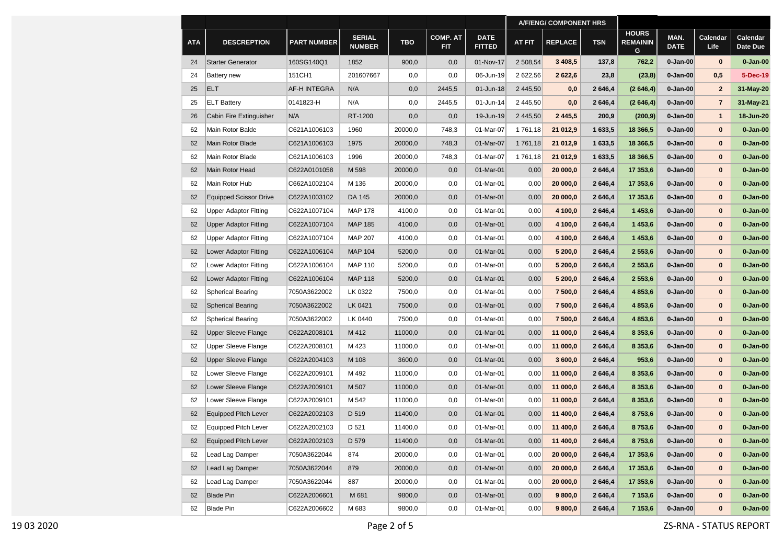|            |                               |                     |                                |            |                               |                              |               | <b>A/F/ENG/ COMPONENT HRS</b> |            |                                      |                     |                         |                      |
|------------|-------------------------------|---------------------|--------------------------------|------------|-------------------------------|------------------------------|---------------|-------------------------------|------------|--------------------------------------|---------------------|-------------------------|----------------------|
| <b>ATA</b> | <b>DESCREPTION</b>            | <b>PART NUMBER</b>  | <b>SERIAL</b><br><b>NUMBER</b> | <b>TBO</b> | <b>COMP. AT</b><br><b>FIT</b> | <b>DATE</b><br><b>FITTED</b> | <b>AT FIT</b> | <b>REPLACE</b>                | <b>TSN</b> | <b>HOURS</b><br><b>REMAININ</b><br>G | MAN.<br><b>DATE</b> | Calendar<br><b>Life</b> | Calendar<br>Date Due |
| 24         | <b>Starter Generator</b>      | 160SG140Q1          | 1852                           | 900,0      | 0,0                           | 01-Nov-17                    | 2 508,54      | 3 4 08,5                      | 137,8      | 762,2                                | $0 - Jan-00$        | $\bf{0}$                | $0 - Jan-00$         |
| 24         | <b>Battery</b> new            | 151CH1              | 201607667                      | 0,0        | 0,0                           | 06-Jun-19                    | 2 622,56      | 2622,6                        | 23,8       | (23, 8)                              | $0 - Jan-00$        | 0,5                     | 5-Dec-19             |
| 25         | <b>ELT</b>                    | <b>AF-H INTEGRA</b> | N/A                            | 0,0        | 2445,5                        | 01-Jun-18                    | 2 445,50      | 0,0                           | 2646,4     | (2646, 4)                            | $0 - Jan-00$        | $\mathbf{2}$            | 31-May-20            |
| 25         | <b>ELT Battery</b>            | 0141823-H           | N/A                            | 0,0        | 2445,5                        | 01-Jun-14                    | 2 445,50      | 0,0                           | 2 646,4    | (2646, 4)                            | 0-Jan-00            | $\overline{7}$          | 31-May-21            |
| 26         | Cabin Fire Extinguisher       | N/A                 | RT-1200                        | 0,0        | 0,0                           | 19-Jun-19                    | 2 445.50      | 2 4 4 5 , 5                   | 200,9      | (200, 9)                             | 0-Jan-00            | $\mathbf{1}$            | 18-Jun-20            |
| 62         | Main Rotor Balde              | C621A1006103        | 1960                           | 20000,0    | 748,3                         | 01-Mar-07                    | 1761,18       | 21 012,9                      | 1 633,5    | 18 366,5                             | 0-Jan-00            | $\bf{0}$                | $0 - Jan-00$         |
| 62         | Main Rotor Blade              | C621A1006103        | 1975                           | 20000,0    | 748,3                         | 01-Mar-07                    | 1761,18       | 21 012,9                      | 1 633,5    | 18 366,5                             | 0-Jan-00            | $\bf{0}$                | $0 - Jan-00$         |
| 62         | Main Rotor Blade              | C621A1006103        | 1996                           | 20000,0    | 748,3                         | 01-Mar-07                    | 1761,18       | 21 012,9                      | 1 633,5    | 18 366,5                             | 0-Jan-00            | $\bf{0}$                | $0 - Jan-00$         |
| 62         | Main Rotor Head               | C622A0101058        | M 598                          | 20000,0    | 0,0                           | 01-Mar-01                    | 0,00          | 20 000,0                      | 2 646,4    | 17 353,6                             | $0 - Jan-00$        | $\bf{0}$                | $0 - Jan-00$         |
| 62         | Main Rotor Hub                | C662A1002104        | M 136                          | 20000,0    | 0,0                           | 01-Mar-01                    | 0,00          | 20 000,0                      | 2646,4     | 17 353,6                             | $0 - Jan-00$        | 0                       | $0 - Jan-00$         |
| 62         | <b>Equipped Scissor Drive</b> | C622A1003102        | DA 145                         | 20000,0    | 0,0                           | 01-Mar-01                    | 0,00          | 20 000,0                      | 2646,4     | 17 353,6                             | 0-Jan-00            | 0                       | 0-Jan-00             |
| 62         | Upper Adaptor Fitting         | C622A1007104        | <b>MAP 178</b>                 | 4100,0     | 0,0                           | 01-Mar-01                    | 0,00          | 4 100,0                       | 2 646,4    | 1453,6                               | $0 - Jan-00$        | 0                       | $0 - Jan-00$         |
| 62         | <b>Upper Adaptor Fitting</b>  | C622A1007104        | <b>MAP 185</b>                 | 4100,0     | 0,0                           | 01-Mar-01                    | 0,00          | 4 100,0                       | 2646,4     | 1453,6                               | 0-Jan-00            | $\bf{0}$                | 0-Jan-00             |
| 62         | <b>Upper Adaptor Fitting</b>  | C622A1007104        | <b>MAP 207</b>                 | 4100,0     | 0,0                           | 01-Mar-01                    | 0,00          | 4 100,0                       | 2646,4     | 1453,6                               | $0 - Jan-00$        | 0                       | 0-Jan-00             |
| 62         | Lower Adaptor Fitting         | C622A1006104        | <b>MAP 104</b>                 | 5200,0     | 0,0                           | 01-Mar-01                    | 0,00          | 5 200,0                       | 2 646,4    | 2553,6                               | 0-Jan-00            | $\bf{0}$                | $0 - Jan-00$         |
| 62         | Lower Adaptor Fitting         | C622A1006104        | <b>MAP 110</b>                 | 5200,0     | 0,0                           | 01-Mar-01                    | 0,00          | 5 200,0                       | 2646,4     | 2 5 5 3 , 6                          | $0 - Jan-00$        | 0                       | $0 - Jan-00$         |
| 62         | Lower Adaptor Fitting         | C622A1006104        | <b>MAP 118</b>                 | 5200,0     | 0,0                           | 01-Mar-01                    | 0,00          | 5 200,0                       | 2646,4     | 2553,6                               | 0-Jan-00            | 0                       | $0 - Jan-00$         |
| 62         | <b>Spherical Bearing</b>      | 7050A3622002        | LK 0322                        | 7500,0     | 0,0                           | 01-Mar-01                    | 0,00          | 7 500,0                       | 2 646,4    | 4 8 5 3, 6                           | 0-Jan-00            | $\bf{0}$                | $0 - Jan-00$         |
| 62         | <b>Spherical Bearing</b>      | 7050A3622002        | LK 0421                        | 7500,0     | 0,0                           | 01-Mar-01                    | 0,00          | 7 500,0                       | 2 646,4    | 4 8 5 3, 6                           | 0-Jan-00            | $\bf{0}$                | $0 - Jan-00$         |
| 62         | <b>Spherical Bearing</b>      | 7050A3622002        | LK 0440                        | 7500,0     | 0,0                           | 01-Mar-01                    | 0,00          | 7 500,0                       | 2 646,4    | 4 8 5 3, 6                           | 0-Jan-00            | $\bf{0}$                | 0-Jan-00             |
| 62         | <b>Upper Sleeve Flange</b>    | C622A2008101        | M 412                          | 11000,0    | 0,0                           | 01-Mar-01                    | 0,00          | 11 000,0                      | 2 646,4    | 8 3 5 3, 6                           | 0-Jan-00            | $\bf{0}$                | $0 - Jan-00$         |
| 62         | Upper Sleeve Flange           | C622A2008101        | M 423                          | 11000,0    | 0,0                           | 01-Mar-01                    | 0,00          | 11 000,0                      | 2 646,4    | 8 3 5 3 , 6                          | $0 - Jan-00$        | $\bf{0}$                | $0 - Jan-00$         |
| 62         | <b>Upper Sleeve Flange</b>    | C622A2004103        | M 108                          | 3600,0     | 0,0                           | 01-Mar-01                    | 0,00          | 3 600,0                       | 2646,4     | 953,6                                | $0 - Jan-00$        | 0                       | $0 - Jan-00$         |
| 62         | Lower Sleeve Flange           | C622A2009101        | M 492                          | 11000,0    | 0,0                           | 01-Mar-01                    | 0,00          | 11 000,0                      | 2 646,4    | 8 3 5 3, 6                           | 0-Jan-00            | 0                       | $0 - Jan-00$         |
| 62         | Lower Sleeve Flange           | C622A2009101        | M 507                          | 11000,0    | 0,0                           | 01-Mar-01                    | 0,00          | 11 000,0                      | 2 646,4    | 8 3 5 3, 6                           | 0-Jan-00            | 0                       | $0 - Jan-00$         |
| 62         | Lower Sleeve Flange           | C622A2009101        | M 542                          | 11000,0    | 0,0                           | 01-Mar-01                    | 0,00          | 11 000,0                      | 2 646,4    | 8 3 5 3, 6                           | $0 - Jan-00$        | 0                       | $0 - Jan-00$         |
| 62         | <b>Equipped Pitch Lever</b>   | C622A2002103        | D 519                          | 11400,0    | 0,0                           | 01-Mar-01                    | 0,00          | 11 400,0                      | 2646,4     | 8753,6                               | 0-Jan-00            | $\bf{0}$                | 0-Jan-00             |
| 62         | <b>Equipped Pitch Lever</b>   | C622A2002103        | D 521                          | 11400,0    | 0,0                           | 01-Mar-01                    | 0,00          | 11 400,0                      | 2646,4     | 8753,6                               | $0 - Jan-00$        | $\bf{0}$                | $0 - Jan-00$         |
| 62         | Equipped Pitch Lever          | C622A2002103        | D 579                          | 11400,0    | 0,0                           | 01-Mar-01                    | 0,00          | 11 400,0                      | 2646,4     | 8753,6                               | $0 - Jan-00$        | $\bf{0}$                | $0 - Jan-00$         |
| 62         | Lead Lag Damper               | 7050A3622044        | 874                            | 20000,0    | 0,0                           | 01-Mar-01                    | 0,00          | 20 000,0                      | 2646,4     | 17 353,6                             | $0 - Jan-00$        | $\bf{0}$                | $0 - Jan-00$         |
| 62         | Lead Lag Damper               | 7050A3622044        | 879                            | 20000,0    | 0,0                           | 01-Mar-01                    | 0,00          | 20 000,0                      | 2 646,4    | 17 353,6                             | $0 - Jan-00$        | $\bf{0}$                | $0 - Jan-00$         |
| 62         | Lead Lag Damper               | 7050A3622044        | 887                            | 20000,0    | 0,0                           | 01-Mar-01                    | 0,00          | 20 000,0                      | 2646,4     | 17 353,6                             | $0 - Jan-00$        | $\bf{0}$                | $0 - Jan-00$         |
| 62         | <b>Blade Pin</b>              | C622A2006601        | M 681                          | 9800,0     | 0,0                           | 01-Mar-01                    | 0,00          | 9800,0                        | 2646,4     | 7 153,6                              | $0 - Jan-00$        | $\bf{0}$                | $0 - Jan-00$         |
| 62         | Blade Pin                     | C622A2006602        | M 683                          | 9800,0     | 0,0                           | 01-Mar-01                    | 0,00          | 9800,0                        | 2 646,4    | 7 153,6                              | $0 - Jan-00$        | $\bf{0}$                | $0 - Jan-00$         |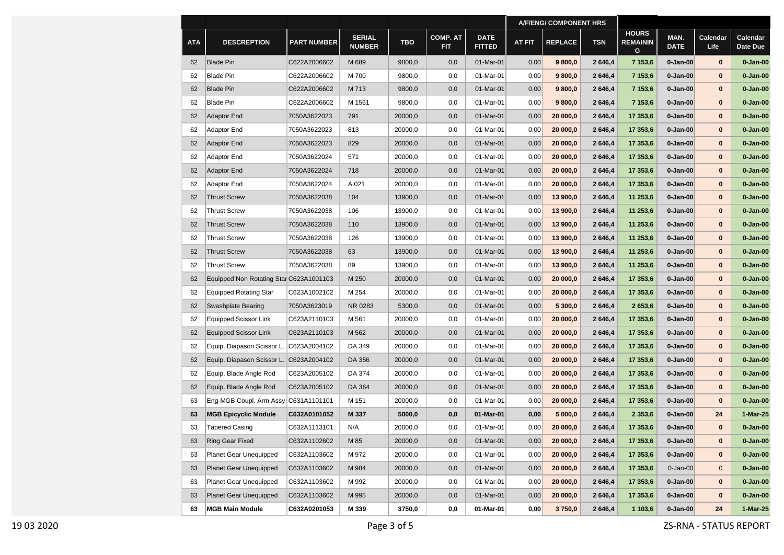|            |                                         |                    |                                |            |                               |                              | <b>A/F/ENG/ COMPONENT HRS</b> |                |            |                                      |                     |                         |                      |
|------------|-----------------------------------------|--------------------|--------------------------------|------------|-------------------------------|------------------------------|-------------------------------|----------------|------------|--------------------------------------|---------------------|-------------------------|----------------------|
| <b>ATA</b> | <b>DESCREPTION</b>                      | <b>PART NUMBER</b> | <b>SERIAL</b><br><b>NUMBER</b> | <b>TBO</b> | <b>COMP. AT</b><br><b>FIT</b> | <b>DATE</b><br><b>FITTED</b> | <b>AT FIT</b>                 | <b>REPLACE</b> | <b>TSN</b> | <b>HOURS</b><br><b>REMAININ</b><br>G | MAN.<br><b>DATE</b> | Calendar<br><b>Life</b> | Calendar<br>Date Due |
| 62         | <b>Blade Pin</b>                        | C622A2006602       | M 689                          | 9800,0     | 0,0                           | 01-Mar-01                    | 0,00                          | 9800,0         | 2646,4     | 7 153,6                              | $0 - Jan-00$        | $\bf{0}$                | $0 - Jan-00$         |
| 62         | <b>Blade Pin</b>                        | C622A2006602       | M 700                          | 9800,0     | 0,0                           | 01-Mar-01                    | 0,00                          | 9 800,0        | 2646,4     | 7 153,6                              | 0-Jan-00            | $\bf{0}$                | $0 - Jan-00$         |
| 62         | <b>Blade Pin</b>                        | C622A2006602       | M 713                          | 9800,0     | 0,0                           | 01-Mar-01                    | 0,00                          | 9800,0         | 2646,4     | 7 153,6                              | 0-Jan-00            | $\bf{0}$                | $0 - Jan-00$         |
| 62         | <b>Blade Pin</b>                        | C622A2006602       | M 1561                         | 9800,0     | 0,0                           | 01-Mar-01                    | 0,00                          | 9800,0         | 2646,4     | 7 153,6                              | 0-Jan-00            | $\bf{0}$                | $0 - Jan-00$         |
| 62         | <b>Adaptor End</b>                      | 7050A3622023       | 791                            | 20000,0    | 0,0                           | 01-Mar-01                    | 0,00                          | 20 000,0       | 2646,4     | 17 353,6                             | 0-Jan-00            | $\bf{0}$                | $0 - Jan-00$         |
| 62         | Adaptor End                             | 7050A3622023       | 813                            | 20000,0    | 0,0                           | 01-Mar-01                    | 0,00                          | 20 000,0       | 2646,4     | 17 353,6                             | 0-Jan-00            | $\bf{0}$                | $0 - Jan-00$         |
| 62         | <b>Adaptor End</b>                      | 7050A3622023       | 829                            | 20000,0    | 0,0                           | 01-Mar-01                    | 0,00                          | 20 000,0       | 2646,4     | 17 353,6                             | 0-Jan-00            | $\bf{0}$                | $0 - Jan-00$         |
| 62         | Adaptor End                             | 7050A3622024       | 571                            | 20000,0    | 0,0                           | 01-Mar-01                    | 0,00                          | 20 000,0       | 2646,4     | 17 353,6                             | 0-Jan-00            | $\bf{0}$                | $0 - Jan-00$         |
| 62         | <b>Adaptor End</b>                      | 7050A3622024       | 718                            | 20000,0    | 0,0                           | 01-Mar-01                    | 0,00                          | 20 000,0       | 2646,4     | 17 353,6                             | 0-Jan-00            | $\bf{0}$                | $0 - Jan-00$         |
| 62         | Adaptor End                             | 7050A3622024       | A 021                          | 20000,0    | 0,0                           | 01-Mar-01                    | 0,00                          | 20 000,0       | 2646,4     | 17 353,6                             | 0-Jan-00            | $\bf{0}$                | $0 - Jan-00$         |
| 62         | <b>Thrust Screw</b>                     | 7050A3622038       | 104                            | 13900,0    | 0,0                           | 01-Mar-01                    | 0,00                          | 13 900,0       | 2646,4     | 11 253,6                             | 0-Jan-00            | $\bf{0}$                | $0 - Jan-00$         |
| 62         | <b>Thrust Screw</b>                     | 7050A3622038       | 106                            | 13900,0    | 0,0                           | 01-Mar-01                    | 0,00                          | 13 900,0       | 2646,4     | 11 253,6                             | 0-Jan-00            | $\bf{0}$                | $0 - Jan-00$         |
| 62         | <b>Thrust Screw</b>                     | 7050A3622038       | 110                            | 13900,0    | 0,0                           | 01-Mar-01                    | 0,00                          | 13 900,0       | 2646,4     | 11 253,6                             | 0-Jan-00            | $\bf{0}$                | $0 - Jan-00$         |
| 62         | <b>Thrust Screw</b>                     | 7050A3622038       | 126                            | 13900,0    | 0,0                           | 01-Mar-01                    | 0,00                          | 13 900,0       | 2646,4     | 11 253,6                             | 0-Jan-00            | $\bf{0}$                | $0 - Jan-00$         |
| 62         | <b>Thrust Screw</b>                     | 7050A3622038       | 63                             | 13900,0    | 0,0                           | 01-Mar-01                    | 0,00                          | 13 900,0       | 2646,4     | 11 253,6                             | 0-Jan-00            | $\bf{0}$                | $0 - Jan-00$         |
| 62         | <b>Thrust Screw</b>                     | 7050A3622038       | 89                             | 13900,0    | 0,0                           | 01-Mar-01                    | 0,00                          | 13 900,0       | 2646,4     | 11 253,6                             | 0-Jan-00            | $\bf{0}$                | $0 - Jan-00$         |
| 62         | Equipped Non Rotating Star C623A1001103 |                    | M 250                          | 20000,0    | 0,0                           | 01-Mar-01                    | 0,00                          | 20 000,0       | 2646,4     | 17 353,6                             | 0-Jan-00            | $\bf{0}$                | $0 - Jan-00$         |
| 62         | <b>Equipped Rotating Star</b>           | C623A1002102       | M 254                          | 20000,0    | 0,0                           | 01-Mar-01                    | 0,00                          | 20 000,0       | 2646,4     | 17 353,6                             | 0-Jan-00            | $\bf{0}$                | $0 - Jan-00$         |
| 62         | Swashplate Bearing                      | 7050A3623019       | NR 0283                        | 5300,0     | 0,0                           | 01-Mar-01                    | 0,00                          | 5 300,0        | 2646,4     | 2 653,6                              | 0-Jan-00            | $\bf{0}$                | $0 - Jan-00$         |
| 62         | Equipped Scissor Link                   | C623A2110103       | M 561                          | 20000,0    | 0,0                           | 01-Mar-01                    | 0,00                          | 20 000,0       | 2646,4     | 17 353,6                             | 0-Jan-00            | $\bf{0}$                | $0 - Jan-00$         |
| 62         | <b>Equipped Scissor Link</b>            | C623A2110103       | M 562                          | 20000,0    | 0,0                           | 01-Mar-01                    | 0,00                          | 20 000,0       | 2646,4     | 17 353,6                             | 0-Jan-00            | $\bf{0}$                | $0 - Jan-00$         |
| 62         | Equip. Diapason Scissor L.              | C623A2004102       | DA 349                         | 20000,0    | 0,0                           | 01-Mar-01                    | 0,00                          | 20 000,0       | 2646,4     | 17 353,6                             | 0-Jan-00            | $\bf{0}$                | $0 - Jan-00$         |
| 62         | Equip. Diapason Scissor L.              | C623A2004102       | DA 356                         | 20000,0    | 0,0                           | 01-Mar-01                    | 0,00                          | 20 000,0       | 2646,4     | 17 353,6                             | 0-Jan-00            | $\bf{0}$                | $0 - Jan-00$         |
| 62         | Equip. Blade Angle Rod                  | C623A2005102       | DA 374                         | 20000,0    | 0,0                           | 01-Mar-01                    | 0,00                          | 20 000,0       | 2646,4     | 17 353,6                             | 0-Jan-00            | $\bf{0}$                | $0 - Jan-00$         |
| 62         | Equip. Blade Angle Rod                  | C623A2005102       | DA 364                         | 20000,0    | 0,0                           | 01-Mar-01                    | 0,00                          | 20 000,0       | 2646,4     | 17 353,6                             | $0 - Jan-00$        | $\bf{0}$                | $0 - Jan-00$         |
| 63         | Eng-MGB Coupl. Arm Assy                 | C631A1101101       | M 151                          | 20000,0    | 0,0                           | 01-Mar-01                    | 0,00                          | 20 000,0       | 2646,4     | 17 353,6                             | 0-Jan-00            | $\bf{0}$                | $0 - Jan-00$         |
| 63         | <b>MGB Epicyclic Module</b>             | C632A0101052       | M 337                          | 5000,0     | 0,0                           | 01-Mar-01                    | 0,00                          | 5 000,0        | 2646,4     | 2 3 5 3, 6                           | 0-Jan-00            | 24                      | 1-Mar-25             |
| 63         | Tapered Casing                          | C632A1113101       | N/A                            | 20000,0    | 0,0                           | 01-Mar-01                    | 0,00                          | 20 000,0       | 2646,4     | 17 353,6                             | 0-Jan-00            | $\bf{0}$                | $0 - Jan-00$         |
| 63         | Ring Gear Fixed                         | C632A1102602       | M 85                           | 20000,0    | 0,0                           | 01-Mar-01                    | 0,00                          | 20 000,0       | 2646,4     | 17 353,6                             | $0 - Jan-00$        | $\bf{0}$                | $0 - Jan-00$         |
| 63         | Planet Gear Unequipped                  | C632A1103602       | M 972                          | 20000,0    | 0,0                           | 01-Mar-01                    | 0,00                          | 20 000,0       | 2646,4     | 17 353,6                             | 0-Jan-00            | $\bf{0}$                | $0 - Jan-00$         |
| 63         | <b>Planet Gear Unequipped</b>           | C632A1103602       | M 984                          | 20000,0    | 0,0                           | 01-Mar-01                    | 0,00                          | 20 000,0       | 2646,4     | 17 353,6                             | $0 - Jan-00$        | $\mathbf 0$             | $0 - Jan-00$         |
| 63         | <b>Planet Gear Unequipped</b>           | C632A1103602       | M 992                          | 20000,0    | 0,0                           | 01-Mar-01                    | 0,00                          | 20 000,0       | 2646,4     | 17 353,6                             | $0 - Jan-00$        | $\bf{0}$                | $0 - Jan-00$         |
| 63         | <b>Planet Gear Unequipped</b>           | C632A1103602       | M 995                          | 20000,0    | 0,0                           | 01-Mar-01                    | 0,00                          | 20 000,0       | 2646,4     | 17 353,6                             | $0 - Jan-00$        | $\bf{0}$                | $0 - Jan-00$         |
| 63         | <b>MGB Main Module</b>                  | C632A0201053       | M 339                          | 3750,0     | 0,0                           | 01-Mar-01                    | 0,00                          | 3750,0         | 2646,4     | 1 103,6                              | $0 - Jan-00$        | 24                      | 1-Mar-25             |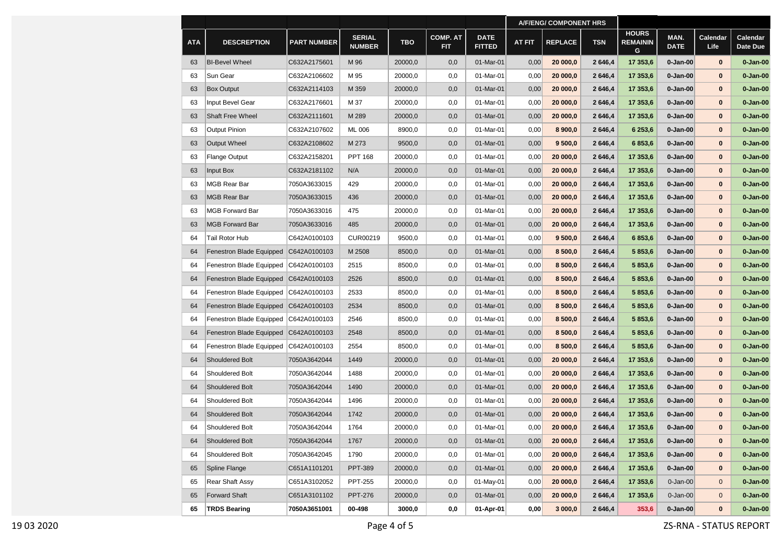|            |                          |                    |                                |            |                               |                              | <b>A/F/ENG/ COMPONENT HRS</b> |                |            |                                      |                     |                         |                      |
|------------|--------------------------|--------------------|--------------------------------|------------|-------------------------------|------------------------------|-------------------------------|----------------|------------|--------------------------------------|---------------------|-------------------------|----------------------|
| <b>ATA</b> | <b>DESCREPTION</b>       | <b>PART NUMBER</b> | <b>SERIAL</b><br><b>NUMBER</b> | <b>TBO</b> | <b>COMP. AT</b><br><b>FIT</b> | <b>DATE</b><br><b>FITTED</b> | <b>AT FIT</b>                 | <b>REPLACE</b> | <b>TSN</b> | <b>HOURS</b><br><b>REMAININ</b><br>G | MAN.<br><b>DATE</b> | Calendar<br><b>Life</b> | Calendar<br>Date Due |
| 63         | <b>BI-Bevel Wheel</b>    | C632A2175601       | M 96                           | 20000,0    | 0,0                           | 01-Mar-01                    | 0,00                          | 20 000,0       | 2646,4     | 17 353,6                             | 0-Jan-00            | $\bf{0}$                | $0 - Jan-00$         |
| 63         | Sun Gear                 | C632A2106602       | M 95                           | 20000,0    | 0,0                           | 01-Mar-01                    | 0,00                          | 20 000,0       | 2 646,4    | 17 353,6                             | $0 - Jan-00$        | $\bf{0}$                | $0 - Jan-00$         |
| 63         | <b>Box Output</b>        | C632A2114103       | M 359                          | 20000,0    | 0,0                           | 01-Mar-01                    | 0,00                          | 20 000,0       | 2646,4     | 17 353,6                             | $0 - Jan-00$        | $\bf{0}$                | $0 - Jan-00$         |
| 63         | Input Bevel Gear         | C632A2176601       | M 37                           | 20000,0    | 0,0                           | 01-Mar-01                    | 0,00                          | 20 000,0       | 2646,4     | 17 353,6                             | $0 - Jan-00$        | 0                       | $0 - Jan-00$         |
| 63         | <b>Shaft Free Wheel</b>  | C632A2111601       | M 289                          | 20000,0    | 0,0                           | 01-Mar-01                    | 0,00                          | 20 000.0       | 2 646,4    | 17 353,6                             | 0-Jan-00            | 0                       | $0 - Jan-00$         |
| 63         | <b>Output Pinion</b>     | C632A2107602       | <b>ML 006</b>                  | 8900,0     | 0,0                           | 01-Mar-01                    | 0,00                          | 8 900,0        | 2 646,4    | 6 253,6                              | 0-Jan-00            | 0                       | 0-Jan-00             |
| 63         | <b>Output Wheel</b>      | C632A2108602       | M 273                          | 9500,0     | 0,0                           | 01-Mar-01                    | 0,00                          | 9 500,0        | 2646,4     | 6853,6                               | 0-Jan-00            | 0                       | $0 - Jan-00$         |
| 63         | <b>Flange Output</b>     | C632A2158201       | <b>PPT 168</b>                 | 20000,0    | 0,0                           | 01-Mar-01                    | 0,00                          | 20 000,0       | 2646,4     | 17 353,6                             | 0-Jan-00            | $\bf{0}$                | 0-Jan-00             |
| 63         | Input Box                | C632A2181102       | N/A                            | 20000,0    | 0,0                           | 01-Mar-01                    | 0,00                          | 20 000,0       | 2646,4     | 17 353,6                             | $0 - Jan-00$        | 0                       | $0 - Jan-00$         |
| 63         | MGB Rear Bar             | 7050A3633015       | 429                            | 20000,0    | 0,0                           | 01-Mar-01                    | 0,00                          | 20 000,0       | 2646,4     | 17 353,6                             | $0 - Jan-00$        | 0                       | $0 - Jan-00$         |
| 63         | <b>MGB Rear Bar</b>      | 7050A3633015       | 436                            | 20000,0    | 0,0                           | 01-Mar-01                    | 0,00                          | 20 000,0       | 2646,4     | 17 353,6                             | 0-Jan-00            | 0                       | 0-Jan-00             |
| 63         | MGB Forward Bar          | 7050A3633016       | 475                            | 20000,0    | 0,0                           | 01-Mar-01                    | 0,00                          | 20 000,0       | 2 646,4    | 17 353,6                             | $0 - Jan-00$        | 0                       | $0 - Jan-00$         |
| 63         | <b>MGB Forward Bar</b>   | 7050A3633016       | 485                            | 20000,0    | 0,0                           | 01-Mar-01                    | 0,00                          | 20 000,0       | 2646,4     | 17 353,6                             | 0-Jan-00            | $\bf{0}$                | 0-Jan-00             |
| 64         | Tail Rotor Hub           | C642A0100103       | CUR00219                       | 9500,0     | 0,0                           | 01-Mar-01                    | 0,00                          | 9,500,0        | 2 646,4    | 6853,6                               | $0 - Jan-00$        | $\bf{0}$                | 0-Jan-00             |
| 64         | Fenestron Blade Equipped | C642A0100103       | M 2508                         | 8500,0     | 0,0                           | 01-Mar-01                    | 0,00                          | 8 500,0        | 2646,4     | 5 853,6                              | 0-Jan-00            | $\bf{0}$                | $0 - Jan-00$         |
| 64         | Fenestron Blade Equipped | C642A0100103       | 2515                           | 8500,0     | 0,0                           | 01-Mar-01                    | 0,00                          | 8 500,0        | 2646,4     | 5853,6                               | $0 - Jan-00$        | $\bf{0}$                | $0 - Jan-00$         |
| 64         | Fenestron Blade Equipped | C642A0100103       | 2526                           | 8500,0     | 0,0                           | 01-Mar-01                    | 0,00                          | 8 500,0        | 2 646,4    | 5853,6                               | $0 - Jan-00$        | 0                       | $0 - Jan-00$         |
| 64         | Fenestron Blade Equipped | C642A0100103       | 2533                           | 8500,0     | 0,0                           | 01-Mar-01                    | 0,00                          | 8 500,0        | 2 646,4    | 5 8 5 3, 6                           | 0-Jan-00            | 0                       | $0 - Jan-00$         |
| 64         | Fenestron Blade Equipped | C642A0100103       | 2534                           | 8500,0     | 0,0                           | 01-Mar-01                    | 0,00                          | 8 500,0        | 2 646,4    | 5853,6                               | 0-Jan-00            | 0                       | $0 - Jan-00$         |
| 64         | Fenestron Blade Equipped | C642A0100103       | 2546                           | 8500,0     | 0,0                           | 01-Mar-01                    | 0,00                          | 8 500,0        | 2646,4     | 5853,6                               | 0-Jan-00            | $\bf{0}$                | 0-Jan-00             |
| 64         | Fenestron Blade Equipped | C642A0100103       | 2548                           | 8500,0     | 0,0                           | 01-Mar-01                    | 0,00                          | 8 500,0        | 2646,4     | 5853,6                               | 0-Jan-00            | 0                       | $0 - Jan-00$         |
| 64         | Fenestron Blade Equipped | C642A0100103       | 2554                           | 8500,0     | 0,0                           | 01-Mar-01                    | 0,00                          | 8 500,0        | 2 646,4    | 5 853,6                              | $0 - Jan-00$        | $\bf{0}$                | $0 - Jan-00$         |
| 64         | <b>Shouldered Bolt</b>   | 7050A3642044       | 1449                           | 20000,0    | 0,0                           | 01-Mar-01                    | 0,00                          | 20 000,0       | 2646,4     | 17 353,6                             | $0 - Jan-00$        | 0                       | $0 - Jan-00$         |
| 64         | Shouldered Bolt          | 7050A3642044       | 1488                           | 20000,0    | 0,0                           | 01-Mar-01                    | 0,00                          | 20 000,0       | 2646,4     | 17 353,6                             | 0-Jan-00            | 0                       | $0 - Jan-00$         |
| 64         | <b>Shouldered Bolt</b>   | 7050A3642044       | 1490                           | 20000,0    | 0,0                           | 01-Mar-01                    | 0,00                          | 20 000,0       | 2 646,4    | 17 353,6                             | 0-Jan-00            | 0                       | $0 - Jan-00$         |
| 64         | Shouldered Bolt          | 7050A3642044       | 1496                           | 20000,0    | 0,0                           | 01-Mar-01                    | 0,00                          | 20 000,0       | 2646,4     | 17 353,6                             | 0-Jan-00            | 0                       | $0 - Jan-00$         |
| 64         | <b>Shouldered Bolt</b>   | 7050A3642044       | 1742                           | 20000,0    | 0,0                           | 01-Mar-01                    | 0,00                          | 20 000,0       | 2646,4     | 17 353,6                             | 0-Jan-00            | $\bf{0}$                | 0-Jan-00             |
| 64         | <b>Shouldered Bolt</b>   | 7050A3642044       | 1764                           | 20000,0    | 0,0                           | 01-Mar-01                    | 0,00                          | 20 000.0       | 2646.4     | 17 353,6                             | 0-Jan-00            | $\bf{0}$                | $0 - Jan-00$         |
| 64         | Shouldered Bolt          | 7050A3642044       | 1767                           | 20000,0    | 0,0                           | 01-Mar-01                    | 0,00                          | 20 000,0       | 2646,4     | 17 353,6                             | $0 - Jan-00$        | $\bf{0}$                | $0 - Jan-00$         |
| 64         | Shouldered Bolt          | 7050A3642045       | 1790                           | 20000,0    | 0,0                           | 01-Mar-01                    | 0,00                          | 20 000,0       | 2646,4     | 17 353,6                             | $0 - Jan-00$        | $\bf{0}$                | $0 - Jan-00$         |
| 65         | Spline Flange            | C651A1101201       | <b>PPT-389</b>                 | 20000,0    | 0,0                           | 01-Mar-01                    | 0,00                          | 20 000,0       | 2 646,4    | 17 353,6                             | 0-Jan-00            | $\bf{0}$                | $0 - Jan-00$         |
| 65         | <b>Rear Shaft Assy</b>   | C651A3102052       | <b>PPT-255</b>                 | 20000,0    | 0,0                           | 01-May-01                    | 0,00                          | 20 000,0       | 2 646,4    | 17 353,6                             | $0 - Jan-00$        | $\mathbf 0$             | $0 - Jan-00$         |
| 65         | <b>Forward Shaft</b>     | C651A3101102       | <b>PPT-276</b>                 | 20000,0    | 0,0                           | 01-Mar-01                    | 0,00                          | 20 000,0       | 2 646,4    | 17 353,6                             | $0$ -Jan-00         | $\mathbf 0$             | $0 - Jan-00$         |
| 65         | <b>TRDS Bearing</b>      | 7050A3651001       | 00-498                         | 3000,0     | 0,0                           | 01-Apr-01                    | 0,00                          | 3000,0         | 2 646,4    | 353,6                                | $0 - Jan-00$        | $\bf{0}$                | $0 - Jan-00$         |